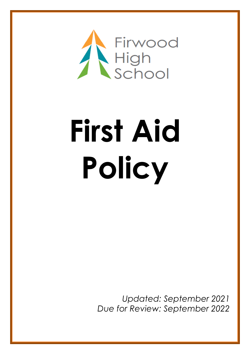

# **First Aid Policy**

*Updated: September 2021 Due for Review: September 2022*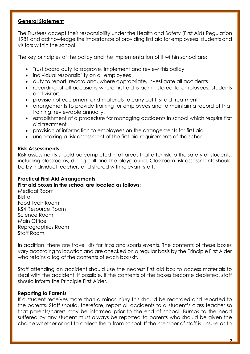# **General Statement**

The Trustees accept their responsibility under the Health and Safety (First Aid) Regulation 1981 and acknowledge the importance of providing first aid for employees, students and visitors within the school

The key principles of the policy and the implementation of it within school are:

- Trust board duty to approve, implement and review this policy
- individual responsibility on all employees
- duty to report, record and, where appropriate, investigate all accidents
- recording of all occasions where first aid is administered to employees, students and visitors
- provision of equipment and materials to carry out first aid treatment
- arrangements to provide training for employees and to maintain a record of that training, reviewable annually.
- establishment of a procedure for managing accidents in school which require first aid treatment
- provision of information to employees on the arrangements for first aid
- undertaking a risk assessment of the first aid requirements of the school.

#### **Risk Assessments**

Risk assessments should be completed in all areas that offer risk to the safety of students, including classrooms, dining hall and the playground. Classroom risk assessments should be by individual teachers and shared with relevant staff.

# **Practical First Aid Arrangements**

#### **First aid boxes in the school are located as follows:**

Medical Room **Bistro** Food Tech Room KS4 Resource Room Science Room Main Office Reprographics Room Staff Room

In addition, there are travel kits for trips and sports events. The contents of these boxes vary according to location and are checked on a regular basis by the Principle First Aider who retains a log of the contents of each box/kit.

Staff attending an accident should use the nearest first aid box to access materials to deal with the accident, if possible. If the contents of the boxes become depleted, staff should inform the Principle First Aider.

#### **Reporting to Parents**

If a student receives more than a minor injury this should be recorded and reported to the parents. Staff should, therefore, report all accidents to a student's class teacher so that parents/carers may be informed prior to the end of school. Bumps to the head suffered by any student must always be reported to parents who should be given the choice whether or not to collect them from school. If the member of staff is unsure as to